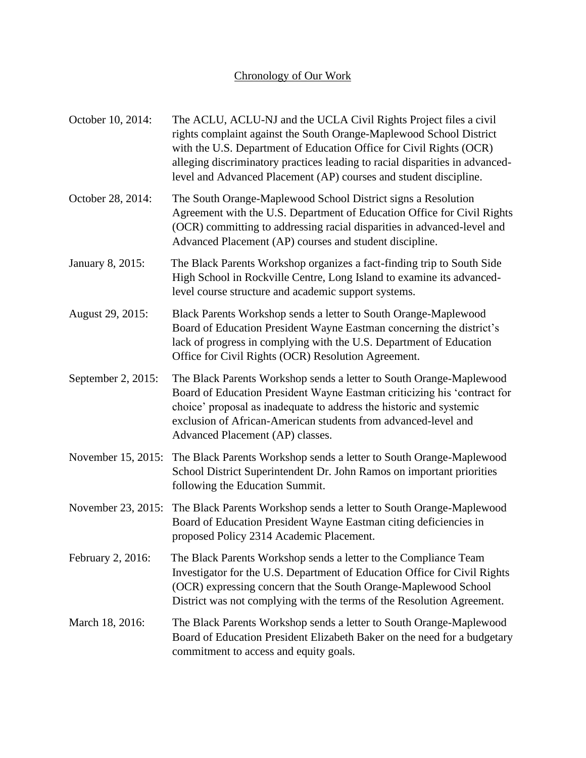## Chronology of Our Work

| October 10, 2014:  | The ACLU, ACLU-NJ and the UCLA Civil Rights Project files a civil<br>rights complaint against the South Orange-Maplewood School District<br>with the U.S. Department of Education Office for Civil Rights (OCR)<br>alleging discriminatory practices leading to racial disparities in advanced-<br>level and Advanced Placement (AP) courses and student discipline. |
|--------------------|----------------------------------------------------------------------------------------------------------------------------------------------------------------------------------------------------------------------------------------------------------------------------------------------------------------------------------------------------------------------|
| October 28, 2014:  | The South Orange-Maplewood School District signs a Resolution<br>Agreement with the U.S. Department of Education Office for Civil Rights<br>(OCR) committing to addressing racial disparities in advanced-level and<br>Advanced Placement (AP) courses and student discipline.                                                                                       |
| January 8, 2015:   | The Black Parents Workshop organizes a fact-finding trip to South Side<br>High School in Rockville Centre, Long Island to examine its advanced-<br>level course structure and academic support systems.                                                                                                                                                              |
| August 29, 2015:   | Black Parents Workshop sends a letter to South Orange-Maplewood<br>Board of Education President Wayne Eastman concerning the district's<br>lack of progress in complying with the U.S. Department of Education<br>Office for Civil Rights (OCR) Resolution Agreement.                                                                                                |
| September 2, 2015: | The Black Parents Workshop sends a letter to South Orange-Maplewood<br>Board of Education President Wayne Eastman criticizing his 'contract for<br>choice' proposal as inadequate to address the historic and systemic<br>exclusion of African-American students from advanced-level and<br>Advanced Placement (AP) classes.                                         |
| November 15, 2015: | The Black Parents Workshop sends a letter to South Orange-Maplewood<br>School District Superintendent Dr. John Ramos on important priorities<br>following the Education Summit.                                                                                                                                                                                      |
|                    | November 23, 2015: The Black Parents Workshop sends a letter to South Orange-Maplewood<br>Board of Education President Wayne Eastman citing deficiencies in<br>proposed Policy 2314 Academic Placement.                                                                                                                                                              |
| February 2, 2016:  | The Black Parents Workshop sends a letter to the Compliance Team<br>Investigator for the U.S. Department of Education Office for Civil Rights<br>(OCR) expressing concern that the South Orange-Maplewood School<br>District was not complying with the terms of the Resolution Agreement.                                                                           |
| March 18, 2016:    | The Black Parents Workshop sends a letter to South Orange-Maplewood<br>Board of Education President Elizabeth Baker on the need for a budgetary<br>commitment to access and equity goals.                                                                                                                                                                            |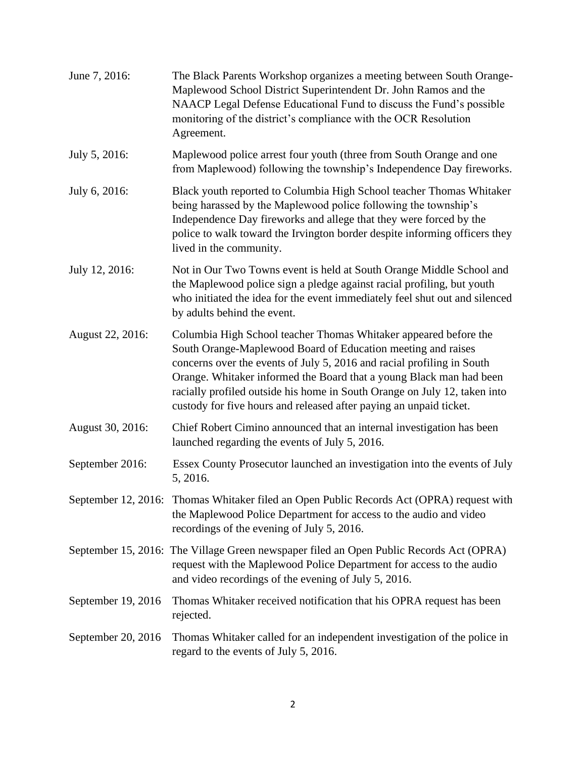| June 7, 2016:      | The Black Parents Workshop organizes a meeting between South Orange-<br>Maplewood School District Superintendent Dr. John Ramos and the<br>NAACP Legal Defense Educational Fund to discuss the Fund's possible<br>monitoring of the district's compliance with the OCR Resolution<br>Agreement.                                                                                                                                      |
|--------------------|--------------------------------------------------------------------------------------------------------------------------------------------------------------------------------------------------------------------------------------------------------------------------------------------------------------------------------------------------------------------------------------------------------------------------------------|
| July 5, 2016:      | Maplewood police arrest four youth (three from South Orange and one<br>from Maplewood) following the township's Independence Day fireworks.                                                                                                                                                                                                                                                                                          |
| July 6, 2016:      | Black youth reported to Columbia High School teacher Thomas Whitaker<br>being harassed by the Maplewood police following the township's<br>Independence Day fireworks and allege that they were forced by the<br>police to walk toward the Irvington border despite informing officers they<br>lived in the community.                                                                                                               |
| July 12, 2016:     | Not in Our Two Towns event is held at South Orange Middle School and<br>the Maplewood police sign a pledge against racial profiling, but youth<br>who initiated the idea for the event immediately feel shut out and silenced<br>by adults behind the event.                                                                                                                                                                         |
| August 22, 2016:   | Columbia High School teacher Thomas Whitaker appeared before the<br>South Orange-Maplewood Board of Education meeting and raises<br>concerns over the events of July 5, 2016 and racial profiling in South<br>Orange. Whitaker informed the Board that a young Black man had been<br>racially profiled outside his home in South Orange on July 12, taken into<br>custody for five hours and released after paying an unpaid ticket. |
| August 30, 2016:   | Chief Robert Cimino announced that an internal investigation has been<br>launched regarding the events of July 5, 2016.                                                                                                                                                                                                                                                                                                              |
| September 2016:    | Essex County Prosecutor launched an investigation into the events of July<br>5, 2016.                                                                                                                                                                                                                                                                                                                                                |
|                    | September 12, 2016: Thomas Whitaker filed an Open Public Records Act (OPRA) request with<br>the Maplewood Police Department for access to the audio and video<br>recordings of the evening of July 5, 2016.                                                                                                                                                                                                                          |
|                    | September 15, 2016: The Village Green newspaper filed an Open Public Records Act (OPRA)<br>request with the Maplewood Police Department for access to the audio<br>and video recordings of the evening of July 5, 2016.                                                                                                                                                                                                              |
| September 19, 2016 | Thomas Whitaker received notification that his OPRA request has been<br>rejected.                                                                                                                                                                                                                                                                                                                                                    |
| September 20, 2016 | Thomas Whitaker called for an independent investigation of the police in<br>regard to the events of July 5, 2016.                                                                                                                                                                                                                                                                                                                    |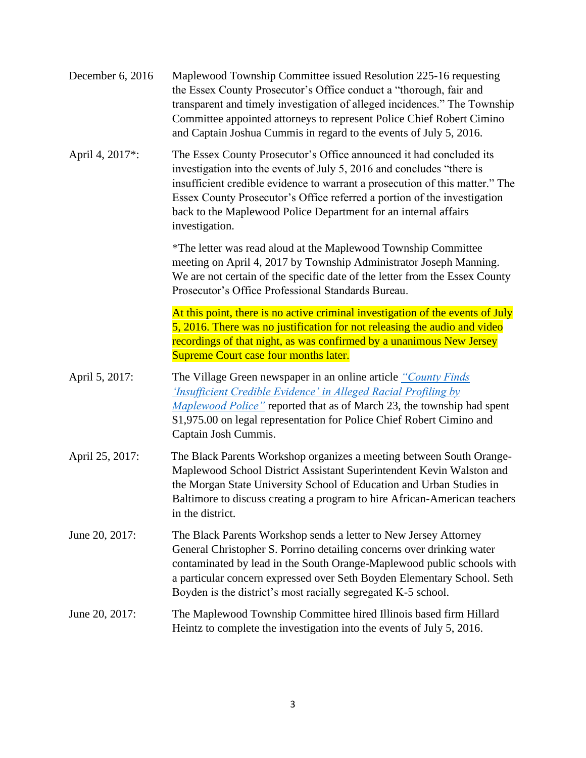| December 6, 2016 | Maplewood Township Committee issued Resolution 225-16 requesting<br>the Essex County Prosecutor's Office conduct a "thorough, fair and<br>transparent and timely investigation of alleged incidences." The Township<br>Committee appointed attorneys to represent Police Chief Robert Cimino<br>and Captain Joshua Cummis in regard to the events of July 5, 2016.                            |
|------------------|-----------------------------------------------------------------------------------------------------------------------------------------------------------------------------------------------------------------------------------------------------------------------------------------------------------------------------------------------------------------------------------------------|
| April 4, 2017*:  | The Essex County Prosecutor's Office announced it had concluded its<br>investigation into the events of July 5, 2016 and concludes "there is<br>insufficient credible evidence to warrant a prosecution of this matter." The<br>Essex County Prosecutor's Office referred a portion of the investigation<br>back to the Maplewood Police Department for an internal affairs<br>investigation. |
|                  | *The letter was read aloud at the Maplewood Township Committee<br>meeting on April 4, 2017 by Township Administrator Joseph Manning.<br>We are not certain of the specific date of the letter from the Essex County<br>Prosecutor's Office Professional Standards Bureau.                                                                                                                     |
|                  | At this point, there is no active criminal investigation of the events of July<br>5, 2016. There was no justification for not releasing the audio and video<br>recordings of that night, as was confirmed by a unanimous New Jersey<br><b>Supreme Court case four months later.</b>                                                                                                           |
| April 5, 2017:   | The Village Green newspaper in an online article "County Finds"<br><b>Insufficient Credible Evidence' in Alleged Racial Profiling by</b><br>Maplewood Police" reported that as of March 23, the township had spent<br>\$1,975.00 on legal representation for Police Chief Robert Cimino and<br>Captain Josh Cummis.                                                                           |
| April 25, 2017:  | The Black Parents Workshop organizes a meeting between South Orange-<br>Maplewood School District Assistant Superintendent Kevin Walston and<br>the Morgan State University School of Education and Urban Studies in<br>Baltimore to discuss creating a program to hire African-American teachers<br>in the district.                                                                         |
| June 20, 2017:   | The Black Parents Workshop sends a letter to New Jersey Attorney<br>General Christopher S. Porrino detailing concerns over drinking water<br>contaminated by lead in the South Orange-Maplewood public schools with<br>a particular concern expressed over Seth Boyden Elementary School. Seth<br>Boyden is the district's most racially segregated K-5 school.                               |
| June 20, 2017:   | The Maplewood Township Committee hired Illinois based firm Hillard<br>Heintz to complete the investigation into the events of July 5, 2016.                                                                                                                                                                                                                                                   |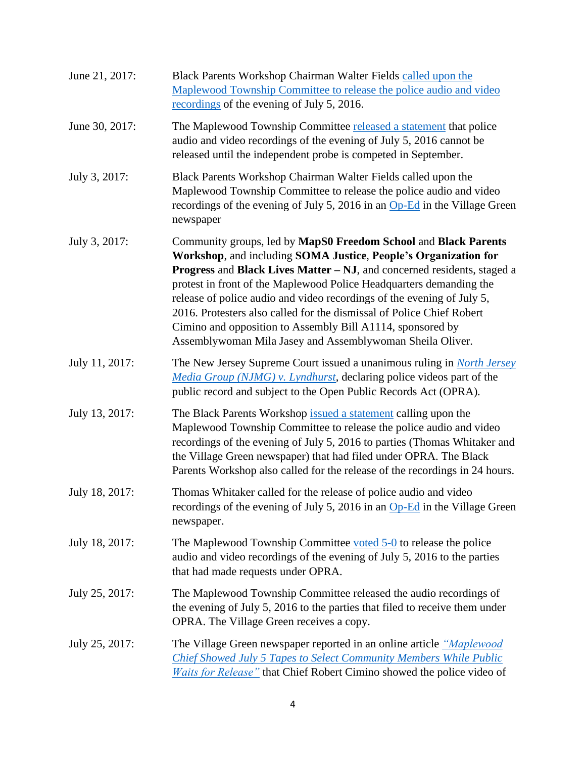| June 21, 2017: | Black Parents Workshop Chairman Walter Fields called upon the<br>Maplewood Township Committee to release the police audio and video<br>recordings of the evening of July 5, 2016.                                                                                                                                                                                                                                                                                                                                                                                  |
|----------------|--------------------------------------------------------------------------------------------------------------------------------------------------------------------------------------------------------------------------------------------------------------------------------------------------------------------------------------------------------------------------------------------------------------------------------------------------------------------------------------------------------------------------------------------------------------------|
| June 30, 2017: | The Maplewood Township Committee released a statement that police<br>audio and video recordings of the evening of July 5, 2016 cannot be<br>released until the independent probe is competed in September.                                                                                                                                                                                                                                                                                                                                                         |
| July 3, 2017:  | Black Parents Workshop Chairman Walter Fields called upon the<br>Maplewood Township Committee to release the police audio and video<br>recordings of the evening of July 5, 2016 in an Op-Ed in the Village Green<br>newspaper                                                                                                                                                                                                                                                                                                                                     |
| July 3, 2017:  | Community groups, led by MapS0 Freedom School and Black Parents<br>Workshop, and including SOMA Justice, People's Organization for<br>Progress and Black Lives Matter - NJ, and concerned residents, staged a<br>protest in front of the Maplewood Police Headquarters demanding the<br>release of police audio and video recordings of the evening of July 5,<br>2016. Protesters also called for the dismissal of Police Chief Robert<br>Cimino and opposition to Assembly Bill A1114, sponsored by<br>Assemblywoman Mila Jasey and Assemblywoman Sheila Oliver. |
| July 11, 2017: | The New Jersey Supreme Court issued a unanimous ruling in <i>North Jersey</i><br>Media Group (NJMG) v. Lyndhurst, declaring police videos part of the<br>public record and subject to the Open Public Records Act (OPRA).                                                                                                                                                                                                                                                                                                                                          |
| July 13, 2017: | The Black Parents Workshop issued a statement calling upon the<br>Maplewood Township Committee to release the police audio and video<br>recordings of the evening of July 5, 2016 to parties (Thomas Whitaker and<br>the Village Green newspaper) that had filed under OPRA. The Black<br>Parents Workshop also called for the release of the recordings in 24 hours.                                                                                                                                                                                              |
| July 18, 2017: | Thomas Whitaker called for the release of police audio and video<br>recordings of the evening of July 5, 2016 in an Op-Ed in the Village Green<br>newspaper.                                                                                                                                                                                                                                                                                                                                                                                                       |
| July 18, 2017: | The Maplewood Township Committee voted 5-0 to release the police<br>audio and video recordings of the evening of July 5, 2016 to the parties<br>that had made requests under OPRA.                                                                                                                                                                                                                                                                                                                                                                                 |
| July 25, 2017: | The Maplewood Township Committee released the audio recordings of<br>the evening of July 5, 2016 to the parties that filed to receive them under<br>OPRA. The Village Green receives a copy.                                                                                                                                                                                                                                                                                                                                                                       |
| July 25, 2017: | The Village Green newspaper reported in an online article <i>"Maplewood</i> "<br>Chief Showed July 5 Tapes to Select Community Members While Public<br>Waits for Release" that Chief Robert Cimino showed the police video of                                                                                                                                                                                                                                                                                                                                      |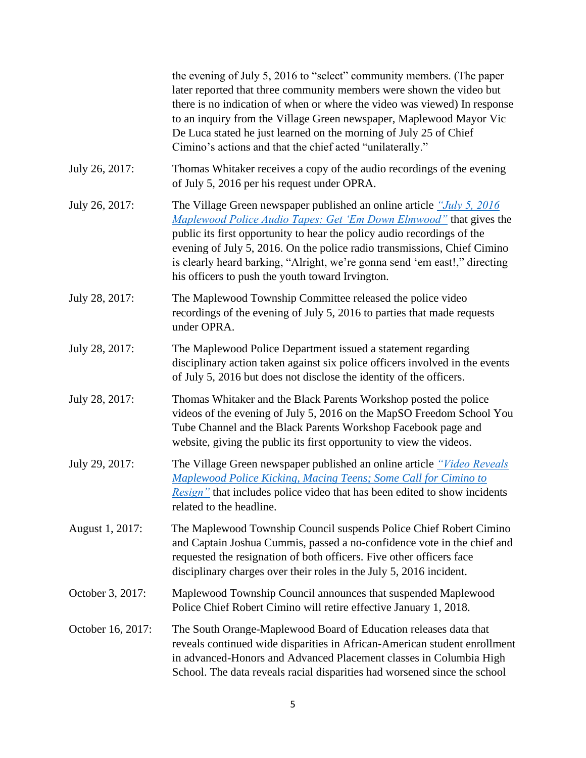|                   | the evening of July 5, 2016 to "select" community members. (The paper<br>later reported that three community members were shown the video but<br>there is no indication of when or where the video was viewed) In response<br>to an inquiry from the Village Green newspaper, Maplewood Mayor Vic<br>De Luca stated he just learned on the morning of July 25 of Chief<br>Cimino's actions and that the chief acted "unilaterally."  |
|-------------------|--------------------------------------------------------------------------------------------------------------------------------------------------------------------------------------------------------------------------------------------------------------------------------------------------------------------------------------------------------------------------------------------------------------------------------------|
| July 26, 2017:    | Thomas Whitaker receives a copy of the audio recordings of the evening<br>of July 5, 2016 per his request under OPRA.                                                                                                                                                                                                                                                                                                                |
| July 26, 2017:    | The Village Green newspaper published an online article "July 5, 2016<br>Maplewood Police Audio Tapes: Get 'Em Down Elmwood" that gives the<br>public its first opportunity to hear the policy audio recordings of the<br>evening of July 5, 2016. On the police radio transmissions, Chief Cimino<br>is clearly heard barking, "Alright, we're gonna send 'em east!," directing<br>his officers to push the youth toward Irvington. |
| July 28, 2017:    | The Maplewood Township Committee released the police video<br>recordings of the evening of July 5, 2016 to parties that made requests<br>under OPRA.                                                                                                                                                                                                                                                                                 |
| July 28, 2017:    | The Maplewood Police Department issued a statement regarding<br>disciplinary action taken against six police officers involved in the events<br>of July 5, 2016 but does not disclose the identity of the officers.                                                                                                                                                                                                                  |
| July 28, 2017:    | Thomas Whitaker and the Black Parents Workshop posted the police<br>videos of the evening of July 5, 2016 on the MapSO Freedom School You<br>Tube Channel and the Black Parents Workshop Facebook page and<br>website, giving the public its first opportunity to view the videos.                                                                                                                                                   |
| July 29, 2017:    | The Village Green newspaper published an online article "Video Reveals"<br>Maplewood Police Kicking, Macing Teens; Some Call for Cimino to<br><i>Resign</i> " that includes police video that has been edited to show incidents<br>related to the headline.                                                                                                                                                                          |
| August 1, 2017:   | The Maplewood Township Council suspends Police Chief Robert Cimino<br>and Captain Joshua Cummis, passed a no-confidence vote in the chief and<br>requested the resignation of both officers. Five other officers face<br>disciplinary charges over their roles in the July 5, 2016 incident.                                                                                                                                         |
| October 3, 2017:  | Maplewood Township Council announces that suspended Maplewood<br>Police Chief Robert Cimino will retire effective January 1, 2018.                                                                                                                                                                                                                                                                                                   |
| October 16, 2017: | The South Orange-Maplewood Board of Education releases data that<br>reveals continued wide disparities in African-American student enrollment<br>in advanced-Honors and Advanced Placement classes in Columbia High<br>School. The data reveals racial disparities had worsened since the school                                                                                                                                     |